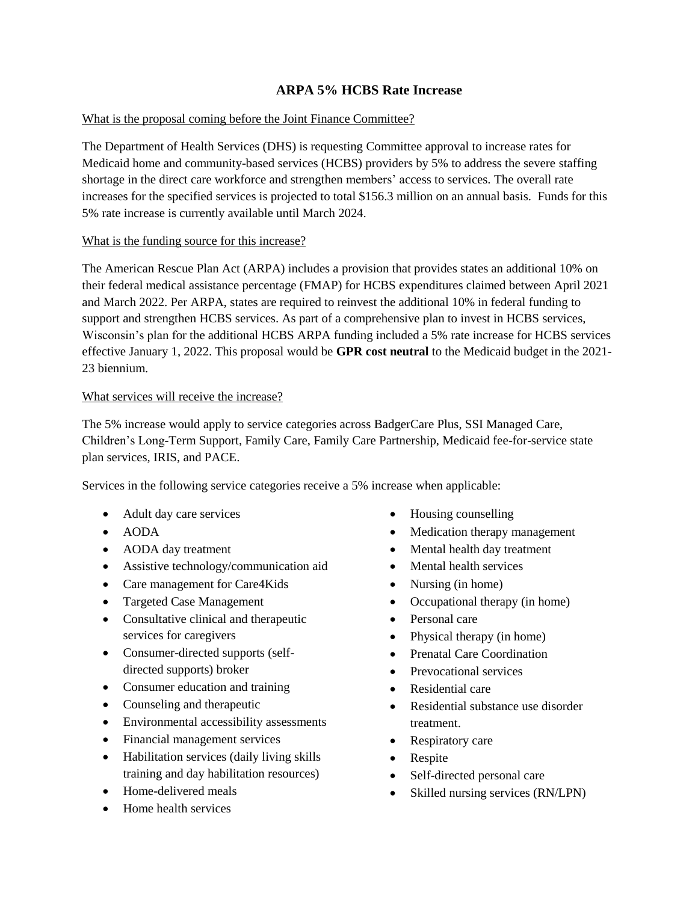# **ARPA 5% HCBS Rate Increase**

### What is the proposal coming before the Joint Finance Committee?

The Department of Health Services (DHS) is requesting Committee approval to increase rates for Medicaid home and community-based services (HCBS) providers by 5% to address the severe staffing shortage in the direct care workforce and strengthen members' access to services. The overall rate increases for the specified services is projected to total \$156.3 million on an annual basis. Funds for this 5% rate increase is currently available until March 2024.

## What is the funding source for this increase?

The American Rescue Plan Act (ARPA) includes a provision that provides states an additional 10% on their federal medical assistance percentage (FMAP) for HCBS expenditures claimed between April 2021 and March 2022. Per ARPA, states are required to reinvest the additional 10% in federal funding to support and strengthen HCBS services. As part of a comprehensive plan to invest in HCBS services, Wisconsin's plan for the additional HCBS ARPA funding included a 5% rate increase for HCBS services effective January 1, 2022. This proposal would be **GPR cost neutral** to the Medicaid budget in the 2021- 23 biennium.

#### What services will receive the increase?

The 5% increase would apply to service categories across BadgerCare Plus, SSI Managed Care, Children's Long-Term Support, Family Care, Family Care Partnership, Medicaid fee-for-service state plan services, IRIS, and PACE.

Services in the following service categories receive a 5% increase when applicable:

- Adult day care services
- AODA
- AODA day treatment
- Assistive technology/communication aid
- Care management for Care4Kids
- Targeted Case Management
- Consultative clinical and therapeutic services for caregivers
- Consumer-directed supports (selfdirected supports) broker
- Consumer education and training
- Counseling and therapeutic
- Environmental accessibility assessments
- Financial management services
- Habilitation services (daily living skills training and day habilitation resources)
- Home-delivered meals
- Home health services
- Housing counselling
- Medication therapy management
- Mental health day treatment
- Mental health services
- Nursing (in home)
- Occupational therapy (in home)
- Personal care
- Physical therapy (in home)
- Prenatal Care Coordination
- Prevocational services
- Residential care
- Residential substance use disorder treatment.
- Respiratory care
- Respite
- Self-directed personal care
- Skilled nursing services (RN/LPN)